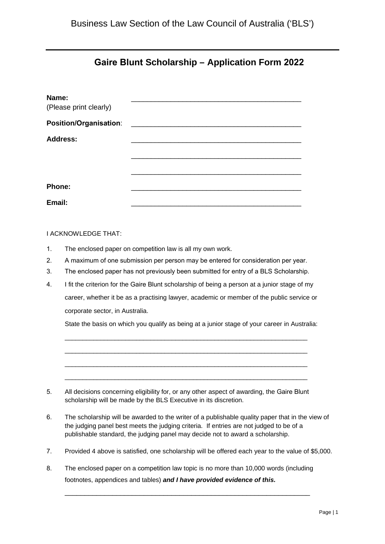## **Gaire Blunt Scholarship – Application Form 2022**

| Name:<br>(Please print clearly) |  |
|---------------------------------|--|
| Position/Organisation:          |  |
| <b>Address:</b>                 |  |
|                                 |  |
|                                 |  |
| <b>Phone:</b>                   |  |
|                                 |  |
| Email:                          |  |

I ACKNOWLEDGE THAT:

- 1. The enclosed paper on competition law is all my own work.
- 2. A maximum of one submission per person may be entered for consideration per year.
- 3. The enclosed paper has not previously been submitted for entry of a BLS Scholarship.
- 4. I fit the criterion for the Gaire Blunt scholarship of being a person at a junior stage of my career, whether it be as a practising lawyer, academic or member of the public service or corporate sector, in Australia.

State the basis on which you qualify as being at a junior stage of your career in Australia:

\_\_\_\_\_\_\_\_\_\_\_\_\_\_\_\_\_\_\_\_\_\_\_\_\_\_\_\_\_\_\_\_\_\_\_\_\_\_\_\_\_\_\_\_\_\_\_\_\_\_\_\_\_\_\_\_\_\_\_\_\_\_\_\_\_\_\_\_

 $\_$  , and the set of the set of the set of the set of the set of the set of the set of the set of the set of the set of the set of the set of the set of the set of the set of the set of the set of the set of the set of th

\_\_\_\_\_\_\_\_\_\_\_\_\_\_\_\_\_\_\_\_\_\_\_\_\_\_\_\_\_\_\_\_\_\_\_\_\_\_\_\_\_\_\_\_\_\_\_\_\_\_\_\_\_\_\_\_\_\_\_\_\_\_\_\_\_\_\_\_

\_\_\_\_\_\_\_\_\_\_\_\_\_\_\_\_\_\_\_\_\_\_\_\_\_\_\_\_\_\_\_\_\_\_\_\_\_\_\_\_\_\_\_\_\_\_\_\_\_\_\_\_\_\_\_\_\_\_\_\_\_\_\_\_\_\_\_\_

- 5. All decisions concerning eligibility for, or any other aspect of awarding, the Gaire Blunt scholarship will be made by the BLS Executive in its discretion.
- 6. The scholarship will be awarded to the writer of a publishable quality paper that in the view of the judging panel best meets the judging criteria. If entries are not judged to be of a publishable standard, the judging panel may decide not to award a scholarship.
- 7. Provided 4 above is satisfied, one scholarship will be offered each year to the value of \$5,000.

\_\_\_\_\_\_\_\_\_\_\_\_\_\_\_\_\_\_\_\_\_\_\_\_\_\_\_\_\_\_\_\_\_\_\_\_\_\_\_\_\_\_\_\_\_\_\_\_\_\_\_\_\_\_\_\_\_\_\_\_\_\_

8. The enclosed paper on a competition law topic is no more than 10,000 words (including footnotes, appendices and tables) *and I have provided evidence of this.*